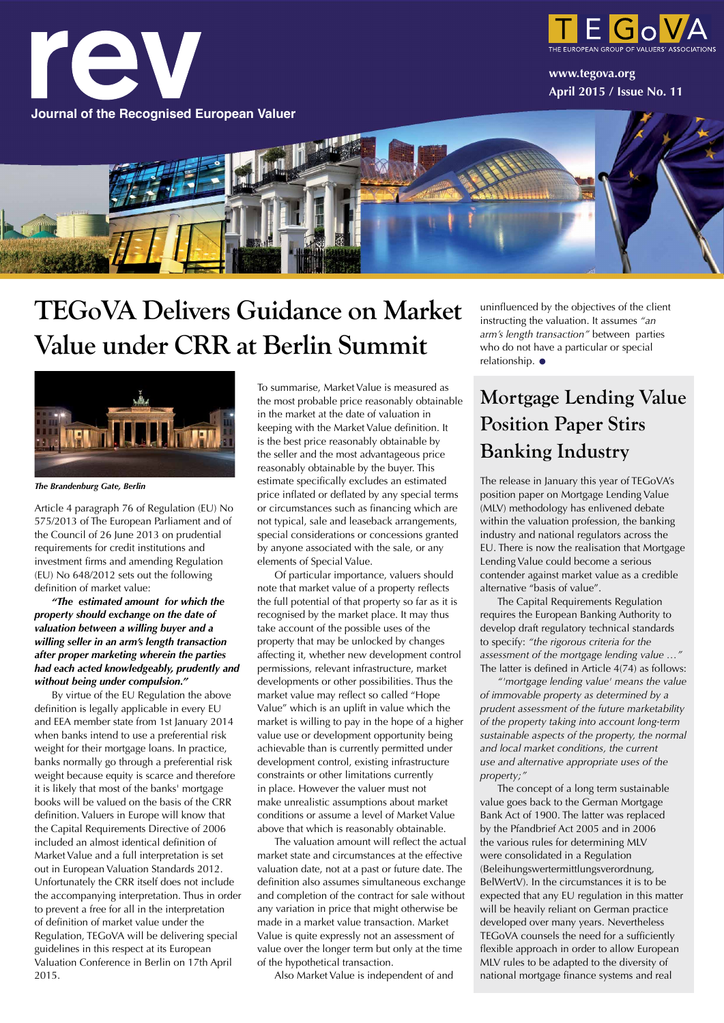

### **TEGoVA Delivers Guidance on Market Value under CRR at Berlin Summit**



*The Brandenburg Gate, Berlin*

Article 4 paragraph 76 of Regulation (EU) No 575/2013 of The European Parliament and of the Council of 26 June 2013 on prudential requirements for credit institutions and investment firms and amending Regulation (EU) No 648/2012 sets out the following definition of market value:

*"The estimated amount for which the property should exchange on the date of valuation between a willing buyer and a willing seller in an arm's length transaction after proper marketing wherein the parties had each acted knowledgeably, prudently and without being under compulsion."*

By virtue of the EU Regulation the above definition is legally applicable in every EU and EEA member state from 1st January 2014 when banks intend to use a preferential risk weight for their mortgage loans. In practice, banks normally go through a preferential risk weight because equity is scarce and therefore it is likely that most of the banks' mortgage books will be valued on the basis of the CRR definition. Valuers in Europe will know that the Capital Requirements Directive of 2006 included an almost identical definition of Market Value and a full interpretation is set out in European Valuation Standards 2012. Unfortunately the CRR itself does not include the accompanying interpretation. Thus in order to prevent a free for all in the interpretation of definition of market value under the Regulation, TEGoVA will be delivering special guidelines in this respect at its European Valuation Conference in Berlin on 17th April 2015.

To summarise, Market Value is measured as the most probable price reasonably obtainable in the market at the date of valuation in keeping with the Market Value definition. It is the best price reasonably obtainable by the seller and the most advantageous price reasonably obtainable by the buyer. This estimate specifically excludes an estimated price inflated or deflated by any special terms or circumstances such as financing which are not typical, sale and leaseback arrangements, special considerations or concessions granted by anyone associated with the sale, or any elements of Special Value.

Of particular importance, valuers should note that market value of a property reflects the full potential of that property so far as it is recognised by the market place. It may thus take account of the possible uses of the property that may be unlocked by changes affecting it, whether new development control permissions, relevant infrastructure, market developments or other possibilities. Thus the market value may reflect so called "Hope Value" which is an uplift in value which the market is willing to pay in the hope of a higher value use or development opportunity being achievable than is currently permitted under development control, existing infrastructure constraints or other limitations currently in place. However the valuer must not make unrealistic assumptions about market conditions or assume a level of Market Value above that which is reasonably obtainable.

The valuation amount will reflect the actual market state and circumstances at the effective valuation date, not at a past or future date. The definition also assumes simultaneous exchange and completion of the contract for sale without any variation in price that might otherwise be made in a market value transaction. Market Value is quite expressly not an assessment of value over the longer term but only at the time of the hypothetical transaction.

Also Market Value is independent of and

uninfluenced by the objectives of the client instructing the valuation. It assumes *"an arm's length transaction"* between parties who do not have a particular or special relationship. •

### **Mortgage Lending Value Position Paper Stirs Banking Industry**

The release in January this year of TEGoVA's position paper on Mortgage Lending Value (MLV) methodology has enlivened debate within the valuation profession, the banking industry and national regulators across the EU. There is now the realisation that Mortgage Lending Value could become a serious contender against market value as a credible alternative "basis of value".

The Capital Requirements Regulation requires the European Banking Authority to develop draft regulatory technical standards to specify: *"the rigorous criteria for the assessment of the mortgage lending value …"* The latter is defined in Article 4(74) as follows:

*"'mortgage lending value' means the value of immovable property as determined by a prudent assessment of the future marketability of the property taking into account long-term sustainable aspects of the property, the normal and local market conditions, the current use and alternative appropriate uses of the property;"*

The concept of a long term sustainable value goes back to the German Mortgage Bank Act of 1900. The latter was replaced by the Pfandbrief Act 2005 and in 2006 the various rules for determining MLV were consolidated in a Regulation (Beleihungswertermittlungsverordnung, BelWertV). In the circumstances it is to be expected that any EU regulation in this matter will be heavily reliant on German practice developed over many years. Nevertheless TEGoVA counsels the need for a sufficiently flexible approach in order to allow European MLV rules to be adapted to the diversity of national mortgage finance systems and real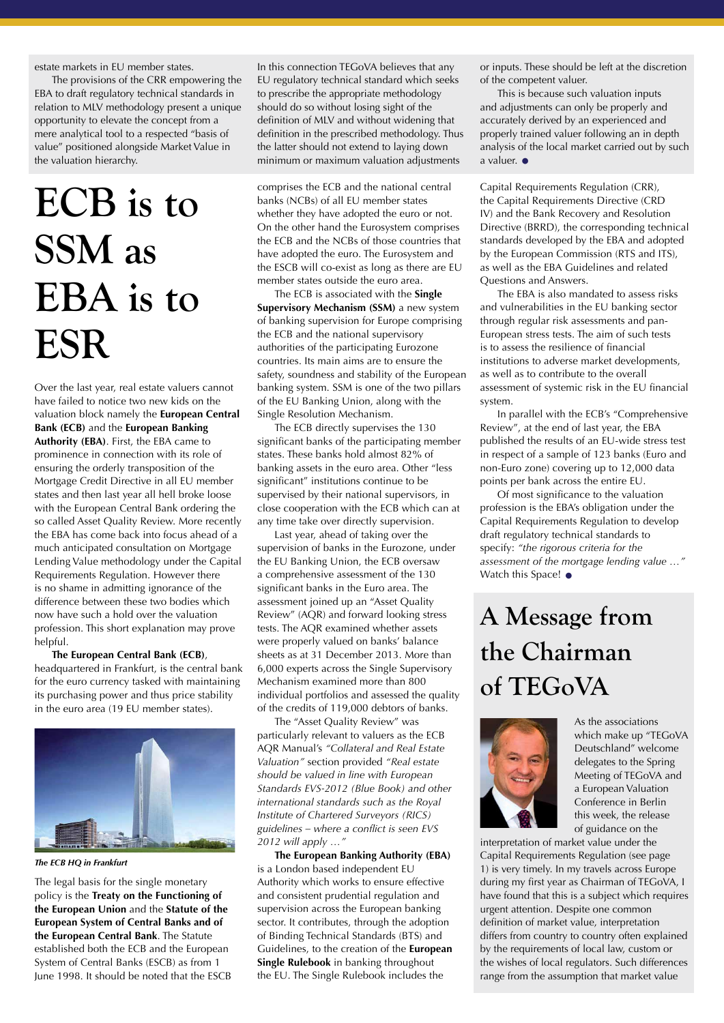estate markets in EU member states.

The provisions of the CRR empowering the EBA to draft regulatory technical standards in relation to MLV methodology present a unique opportunity to elevate the concept from a mere analytical tool to a respected "basis of value" positioned alongside Market Value in the valuation hierarchy.

# **ECB is to SSM as EBA is to ESR**

Over the last year, real estate valuers cannot have failed to notice two new kids on the valuation block namely the **European Central Bank (ECB)** and the **European Banking Authority (EBA)**. First, the EBA came to prominence in connection with its role of ensuring the orderly transposition of the Mortgage Credit Directive in all EU member states and then last year all hell broke loose with the European Central Bank ordering the so called Asset Quality Review. More recently the EBA has come back into focus ahead of a much anticipated consultation on Mortgage Lending Value methodology under the Capital Requirements Regulation. However there is no shame in admitting ignorance of the difference between these two bodies which now have such a hold over the valuation profession. This short explanation may prove helpful.

#### **The European Central Bank (ECB)**,

headquartered in Frankfurt, is the central bank for the euro currency tasked with maintaining its purchasing power and thus price stability in the euro area (19 EU member states).



*The ECB HQ in Frankfurt*

The legal basis for the single monetary policy is the **Treaty on the Functioning of the European Union** and the **Statute of the European System of Central Banks and of the European Central Bank**. The Statute established both the ECB and the European System of Central Banks (ESCB) as from 1 June 1998. It should be noted that the ESCB

In this connection TEGoVA believes that any EU regulatory technical standard which seeks to prescribe the appropriate methodology should do so without losing sight of the definition of MLV and without widening that definition in the prescribed methodology. Thus the latter should not extend to laying down minimum or maximum valuation adjustments

comprises the ECB and the national central banks (NCBs) of all EU member states whether they have adopted the euro or not. On the other hand the Eurosystem comprises the ECB and the NCBs of those countries that have adopted the euro. The Eurosystem and the ESCB will co-exist as long as there are EU member states outside the euro area.

The ECB is associated with the **Single Supervisory Mechanism (SSM)** a new system of banking supervision for Europe comprising the ECB and the national supervisory authorities of the participating Eurozone countries. Its main aims are to ensure the safety, soundness and stability of the European banking system. SSM is one of the two pillars of the EU Banking Union, along with the Single Resolution Mechanism.

The ECB directly supervises the 130 significant banks of the participating member states. These banks hold almost 82% of banking assets in the euro area. Other "less significant" institutions continue to be supervised by their national supervisors, in close cooperation with the ECB which can at any time take over directly supervision.

Last year, ahead of taking over the supervision of banks in the Eurozone, under the EU Banking Union, the ECB oversaw a comprehensive assessment of the 130 significant banks in the Euro area. The assessment joined up an "Asset Quality Review" (AQR) and forward looking stress tests. The AQR examined whether assets were properly valued on banks' balance sheets as at 31 December 2013. More than 6,000 experts across the Single Supervisory Mechanism examined more than 800 individual portfolios and assessed the quality of the credits of 119,000 debtors of banks.

The "Asset Quality Review" was particularly relevant to valuers as the ECB AQR Manual's *"Collateral and Real Estate Valuation"* section provided *"Real estate should be valued in line with European Standards EVS-2012 (Blue Book) and other international standards such as the Royal Institute of Chartered Surveyors (RICS) guidelines – where a conflict is seen EVS 2012 will apply …"*

**The European Banking Authority (EBA)** is a London based independent EU Authority which works to ensure effective and consistent prudential regulation and supervision across the European banking sector. It contributes, through the adoption of Binding Technical Standards (BTS) and Guidelines, to the creation of the **European Single Rulebook** in banking throughout the EU. The Single Rulebook includes the

or inputs. These should be left at the discretion of the competent valuer.

This is because such valuation inputs and adjustments can only be properly and accurately derived by an experienced and properly trained valuer following an in depth analysis of the local market carried out by such a valuer. •

Capital Requirements Regulation (CRR), the Capital Requirements Directive (CRD IV) and the Bank Recovery and Resolution Directive (BRRD), the corresponding technical standards developed by the EBA and adopted by the European Commission (RTS and ITS), as well as the EBA Guidelines and related Questions and Answers.

The EBA is also mandated to assess risks and vulnerabilities in the EU banking sector through regular risk assessments and pan-European stress tests. The aim of such tests is to assess the resilience of financial institutions to adverse market developments, as well as to contribute to the overall assessment of systemic risk in the EU financial system.

In parallel with the ECB's "Comprehensive Review", at the end of last year, the EBA published the results of an EU-wide stress test in respect of a sample of 123 banks (Euro and non-Euro zone) covering up to 12,000 data points per bank across the entire EU.

Of most significance to the valuation profession is the EBA's obligation under the Capital Requirements Regulation to develop draft regulatory technical standards to specify: *"the rigorous criteria for the assessment of the mortgage lending value …"* Watch this Space! •

## **A Message from the Chairman of TEGoVA**



As the associations which make up "TEGoVA Deutschland" welcome delegates to the Spring Meeting of TEGoVA and a European Valuation Conference in Berlin this week, the release of guidance on the

interpretation of market value under the Capital Requirements Regulation (see page 1) is very timely. In my travels across Europe during my first year as Chairman of TEGoVA, I have found that this is a subject which requires urgent attention. Despite one common definition of market value, interpretation differs from country to country often explained by the requirements of local law, custom or the wishes of local regulators. Such differences range from the assumption that market value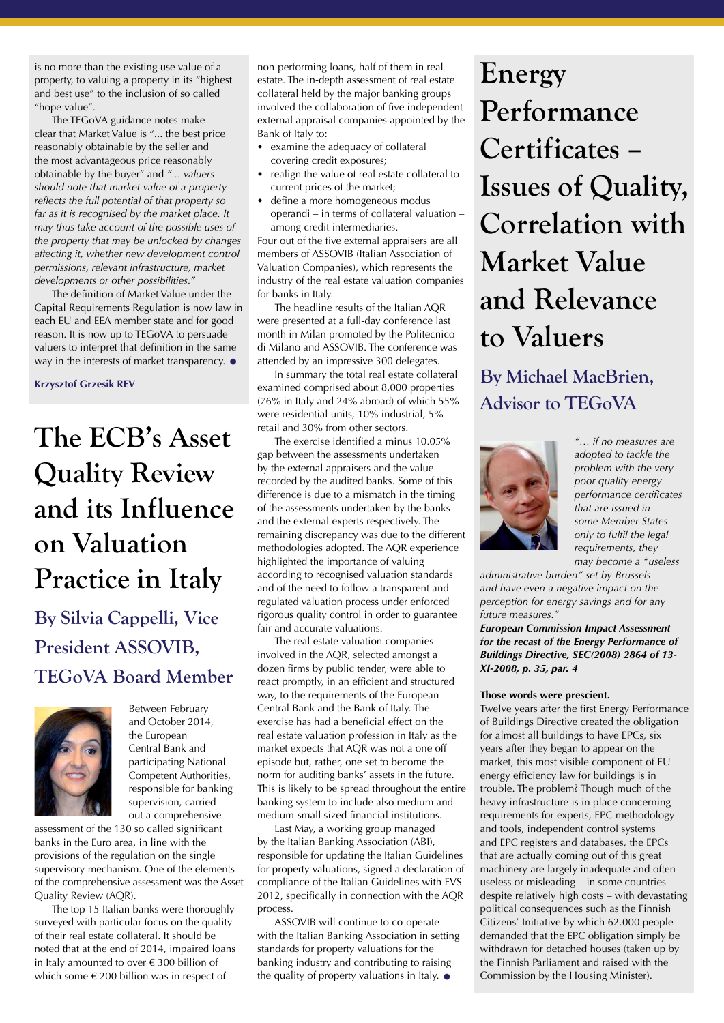is no more than the existing use value of a property, to valuing a property in its "highest and best use" to the inclusion of so called "hope value".

The TEGoVA guidance notes make clear that Market Value is "... the best price reasonably obtainable by the seller and the most advantageous price reasonably obtainable by the buyer" and *"... valuers should note that market value of a property reflects the full potential of that property so far as it is recognised by the market place. It may thus take account of the possible uses of the property that may be unlocked by changes affecting it, whether new development control permissions, relevant infrastructure, market developments or other possibilities."*

The definition of Market Value under the Capital Requirements Regulation is now law in each EU and EEA member state and for good reason. It is now up to TEGoVA to persuade valuers to interpret that definition in the same way in the interests of market transparency.  $\bullet$ 

**Krzysztof Grzesik REV**

# **The ECB's Asset Quality Review and its Influence on Valuation Practice in Italy**

**By Silvia Cappelli, Vice President ASSOVIB, TEGoVA Board Member**



Between February and October 2014, the European Central Bank and participating National Competent Authorities, responsible for banking supervision, carried out a comprehensive

assessment of the 130 so called significant banks in the Euro area, in line with the provisions of the regulation on the single supervisory mechanism. One of the elements of the comprehensive assessment was the Asset Quality Review (AQR).

The top 15 Italian banks were thoroughly surveyed with particular focus on the quality of their real estate collateral. It should be noted that at the end of 2014, impaired loans in Italy amounted to over € 300 billion of which some € 200 billion was in respect of

non-performing loans, half of them in real estate. The in-depth assessment of real estate collateral held by the major banking groups involved the collaboration of five independent external appraisal companies appointed by the Bank of Italy to:

- examine the adequacy of collateral covering credit exposures;
- realign the value of real estate collateral to current prices of the market;
- define a more homogeneous modus operandi – in terms of collateral valuation – among credit intermediaries.

Four out of the five external appraisers are all members of ASSOVIB (Italian Association of Valuation Companies), which represents the industry of the real estate valuation companies for banks in Italy.

The headline results of the Italian AQR were presented at a full-day conference last month in Milan promoted by the Politecnico di Milano and ASSOVIB. The conference was attended by an impressive 300 delegates.

In summary the total real estate collateral examined comprised about 8,000 properties (76% in Italy and 24% abroad) of which 55% were residential units, 10% industrial, 5% retail and 30% from other sectors.

The exercise identified a minus 10.05% gap between the assessments undertaken by the external appraisers and the value recorded by the audited banks. Some of this difference is due to a mismatch in the timing of the assessments undertaken by the banks and the external experts respectively. The remaining discrepancy was due to the different methodologies adopted. The AQR experience highlighted the importance of valuing according to recognised valuation standards and of the need to follow a transparent and regulated valuation process under enforced rigorous quality control in order to guarantee fair and accurate valuations.

The real estate valuation companies involved in the AQR, selected amongst a dozen firms by public tender, were able to react promptly, in an efficient and structured way, to the requirements of the European Central Bank and the Bank of Italy. The exercise has had a beneficial effect on the real estate valuation profession in Italy as the market expects that AQR was not a one off episode but, rather, one set to become the norm for auditing banks' assets in the future. This is likely to be spread throughout the entire banking system to include also medium and medium-small sized financial institutions.

Last May, a working group managed by the Italian Banking Association (ABI), responsible for updating the Italian Guidelines for property valuations, signed a declaration of compliance of the Italian Guidelines with EVS 2012, specifically in connection with the AQR process.

ASSOVIB will continue to co-operate with the Italian Banking Association in setting standards for property valuations for the banking industry and contributing to raising the quality of property valuations in Italy.  $\bullet$ 

**Energy Performance Certificates – Issues of Quality, Correlation with Market Value and Relevance to Valuers**

**By Michael MacBrien, Advisor to TEGoVA**



*"… if no measures are adopted to tackle the problem with the very poor quality energy performance certificates that are issued in some Member States only to fulfil the legal requirements, they may become a "useless* 

*administrative burden" set by Brussels and have even a negative impact on the perception for energy savings and for any future measures."*

#### *European Commission Impact Assessment for the recast of the Energy Performance of Buildings Directive, SEC(2008) 2864 of 13- XI-2008, p. 35, par. 4*

#### **Those words were prescient.**

Twelve years after the first Energy Performance of Buildings Directive created the obligation for almost all buildings to have EPCs, six years after they began to appear on the market, this most visible component of EU energy efficiency law for buildings is in trouble. The problem? Though much of the heavy infrastructure is in place concerning requirements for experts, EPC methodology and tools, independent control systems and EPC registers and databases, the EPCs that are actually coming out of this great machinery are largely inadequate and often useless or misleading – in some countries despite relatively high costs – with devastating political consequences such as the Finnish Citizens' Initiative by which 62.000 people demanded that the EPC obligation simply be withdrawn for detached houses (taken up by the Finnish Parliament and raised with the Commission by the Housing Minister).